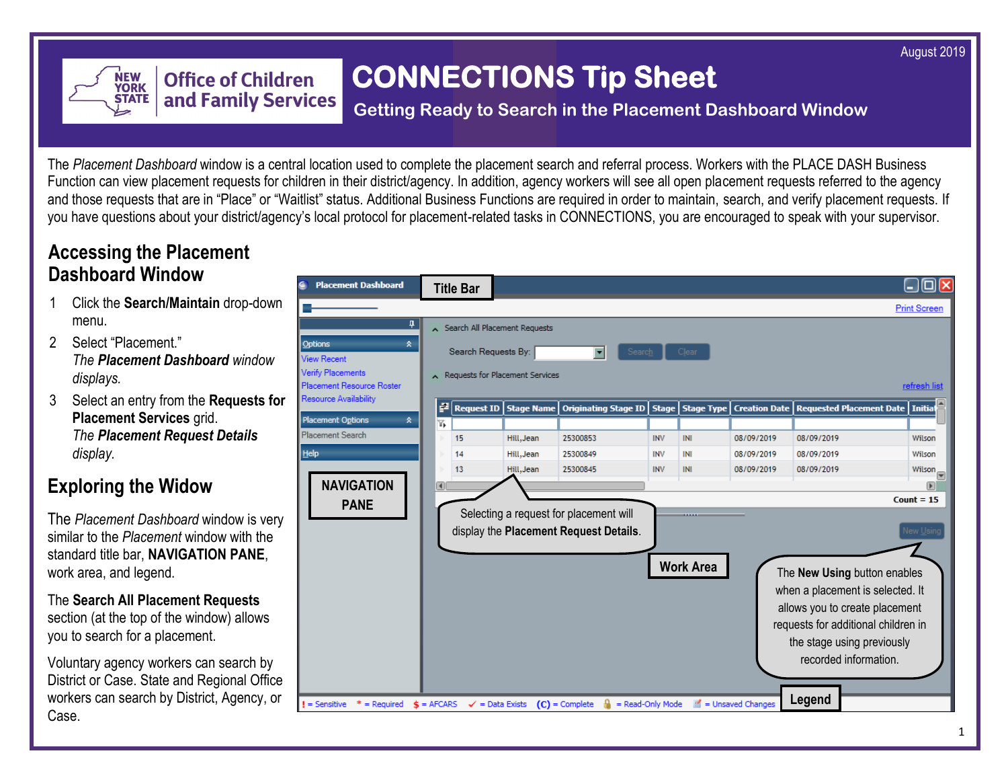August 2019



# **CONNECTIONS Tip Sheet**

### **Getting Ready to Search in the Placement Dashboard Window**

The *Placement Dashboard* window is a central location used to complete the placement search and referral process. Workers with the PLACE DASH Business Function can view placement requests for children in their district/agency. In addition, agency workers will see all open placement requests referred to the agency and those requests that are in "Place" or "Waitlist" status. Additional Business Functions are required in order to maintain, search, and verify placement requests. If you have questions about your district/agency's local protocol for placement-related tasks in CONNECTIONS, you are encouraged to speak with your supervisor.

### **Accessing the Placement Dashboard Window**

- 1 Click the **Search/Maintain** drop-down menu.
- 2 Select "Placement." *The Placement Dashboard window displays.*
- 3 Select an entry from the **Requests for Placement Services** grid. *The Placement Request Details display.*

# **Exploring the Widow**

The *Placement Dashboard* window is very similar to the *Placement* window with the standard title bar, **NAVIGATION PANE**, work area, and legend.

The **Search All Placement Requests**  section (at the top of the window) allows you to search for a placement.

Voluntary agency workers can search by District or Case. State and Regional Office workers can search by District, Agency, or Case.

| <b>Placement Dashboard</b>                              | <b>Title Bar</b>                                                |                            |                                                                                  |              |                   |                      |                                                                                                                                                                                                  | $\Box$ ok                                                  |  |  |
|---------------------------------------------------------|-----------------------------------------------------------------|----------------------------|----------------------------------------------------------------------------------|--------------|-------------------|----------------------|--------------------------------------------------------------------------------------------------------------------------------------------------------------------------------------------------|------------------------------------------------------------|--|--|
|                                                         |                                                                 |                            |                                                                                  |              |                   |                      |                                                                                                                                                                                                  | <b>Print Screen</b>                                        |  |  |
| ņ                                                       | Search All Placement Requests                                   |                            |                                                                                  |              |                   |                      |                                                                                                                                                                                                  |                                                            |  |  |
| Options<br>ヘ<br><b>View Recent</b><br>Verify Placements | Search Requests By:<br>Clear<br>Requests for Placement Services |                            |                                                                                  |              |                   |                      |                                                                                                                                                                                                  |                                                            |  |  |
| Placement Resource Roster                               |                                                                 |                            |                                                                                  |              |                   |                      |                                                                                                                                                                                                  | refresh list                                               |  |  |
| Resource Availability                                   | F<br><b>Request ID</b>                                          | <b>Stage Name</b>          | <b>Originating Stage ID</b>                                                      | <b>Stage</b> | <b>Stage Type</b> | <b>Creation Date</b> | <b>Requested Placement Date</b>                                                                                                                                                                  | <b>Initial</b>                                             |  |  |
| <b>Placement Options</b><br>소                           | Y,                                                              |                            |                                                                                  |              |                   |                      |                                                                                                                                                                                                  |                                                            |  |  |
| Placement Search                                        | 15                                                              | Hill, Jean                 | 25300853                                                                         | <b>INV</b>   | INI               | 08/09/2019           | 08/09/2019                                                                                                                                                                                       | Wilson                                                     |  |  |
| <b>Help</b>                                             | 14                                                              | Hill, Jean                 | 25300849                                                                         | <b>INV</b>   | INI               | 08/09/2019           | 08/09/2019                                                                                                                                                                                       | Wilson                                                     |  |  |
| <b>NAVIGATION</b><br><b>PANE</b>                        | 间                                                               |                            | Selecting a request for placement will<br>display the Placement Request Details. |              | <b>Work Area</b>  |                      | The New Using button enables<br>when a placement is selected. It<br>allows you to create placement<br>requests for additional children in<br>the stage using previously<br>recorded information. | ┯<br>$\overline{\phantom{1}}$<br>Count = $15$<br>New Using |  |  |
| $=$ Sensitive<br>$=$ Required                           | $s =$ AFCARS                                                    | $\checkmark$ = Data Exists | = Read-Only Mode<br>$(C)$ = Complete                                             |              | ₫                 | = Unsaved Changes    | Legend                                                                                                                                                                                           |                                                            |  |  |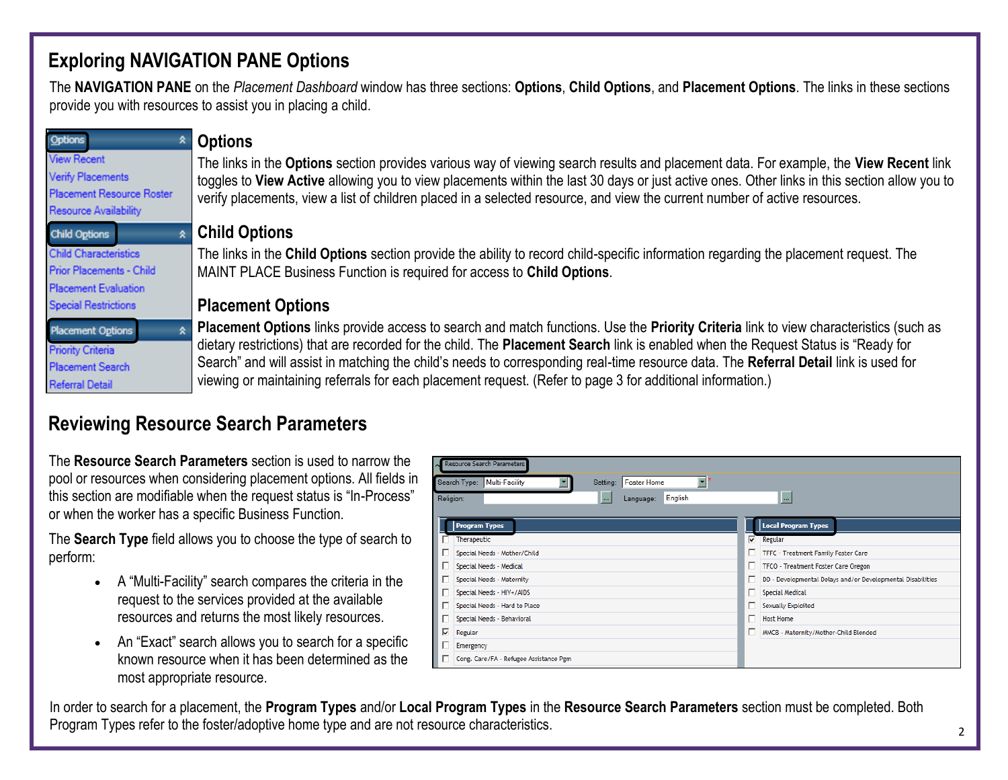# **Exploring NAVIGATION PANE Options**

The **NAVIGATION PANE** on the *Placement Dashboard* window has three sections: **Options**, **Child Options**, and **Placement Options**. The links in these sections provide you with resources to assist you in placing a child.

| Options                                               | <b>Options</b>                                                                                                                               |
|-------------------------------------------------------|----------------------------------------------------------------------------------------------------------------------------------------------|
| <b>View Recent</b>                                    | The links in the Options section provides various way of viewing search results and placement data. For example, the View Recent link        |
| Verify Placements<br><b>Placement Resource Roster</b> | toggles to View Active allowing you to view placements within the last 30 days or just active ones. Other links in this section allow you to |
| Resource Availability                                 | verify placements, view a list of children placed in a selected resource, and view the current number of active resources.                   |
| <b>Child Options</b>                                  | <b>Child Options</b>                                                                                                                         |
| <b>Child Characteristics</b>                          | The links in the Child Options section provide the ability to record child-specific information regarding the placement request. The         |
| Prior Placements - Child                              | MAINT PLACE Business Function is required for access to Child Options.                                                                       |
| <b>Placement Evaluation</b>                           |                                                                                                                                              |
| <b>Special Restrictions</b>                           | <b>Placement Options</b>                                                                                                                     |
| <b>Placement Options</b>                              | Placement Options links provide access to search and match functions. Use the Priority Criteria link to view characteristics (such as        |
| <b>Priority Criteria</b>                              | dietary restrictions) that are recorded for the child. The Placement Search link is enabled when the Request Status is "Ready for            |
| <b>Placement Search</b>                               | Search" and will assist in matching the child's needs to corresponding real-time resource data. The Referral Detail link is used for         |
| <b>Referral Detail</b>                                | viewing or maintaining referrals for each placement request. (Refer to page 3 for additional information.)                                   |

# **Reviewing Resource Search Parameters**

The **Resource Search Parameters** section is used to narrow the pool or resources when considering placement options. All fields in this section are modifiable when the request status is "In-Process" or when the worker has a specific Business Function.

The **Search Type** field allows you to choose the type of search to perform:

- A "Multi-Facility" search compares the criteria in the request to the services provided at the available resources and returns the most likely resources.
- An "Exact" search allows you to search for a specific known resource when it has been determined as the most appropriate resource.

| Resource Search Parameters             |                                                     |                                                                  |  |  |  |  |  |  |  |
|----------------------------------------|-----------------------------------------------------|------------------------------------------------------------------|--|--|--|--|--|--|--|
| Search Type:<br>Multi-Facility         | $\overline{\phantom{a}}$<br>Foster Home<br>Setting: |                                                                  |  |  |  |  |  |  |  |
| Religion:                              | English<br>Language:<br>$\overline{a}$              | <b>1.</b>                                                        |  |  |  |  |  |  |  |
| <b>Program Types</b><br>Therapeutic    |                                                     | <b>Local Program Types</b><br>⊽<br>Regular                       |  |  |  |  |  |  |  |
| Special Needs - Mother/Child           |                                                     | г<br>TFFC - Treatment Family Foster Care                         |  |  |  |  |  |  |  |
| Special Needs - Medical                |                                                     | г<br>TFCO - Treatment Foster Care Oregon                         |  |  |  |  |  |  |  |
| Special Needs - Maternity              |                                                     | г<br>DD - Developmental Delays and/or Developmental Disabilities |  |  |  |  |  |  |  |
| Special Needs - HIV+/AIDS              |                                                     | г<br>Special Medical                                             |  |  |  |  |  |  |  |
| Special Needs - Hard to Place          |                                                     | п<br>Sexually Exploited                                          |  |  |  |  |  |  |  |
| Special Needs - Behavioral             |                                                     | г<br><b>Host Home</b>                                            |  |  |  |  |  |  |  |
| ঢ়<br>Regular                          |                                                     | г<br>MMCB - Maternity/Mother-Child Blended                       |  |  |  |  |  |  |  |
| Emergency                              |                                                     |                                                                  |  |  |  |  |  |  |  |
| Cong. Care/FA - Refugee Assistance Pgm |                                                     |                                                                  |  |  |  |  |  |  |  |

In order to search for a placement, the **Program Types** and/or **Local Program Types** in the **Resource Search Parameters** section must be completed. Both Program Types refer to the foster/adoptive home type and are not resource characteristics.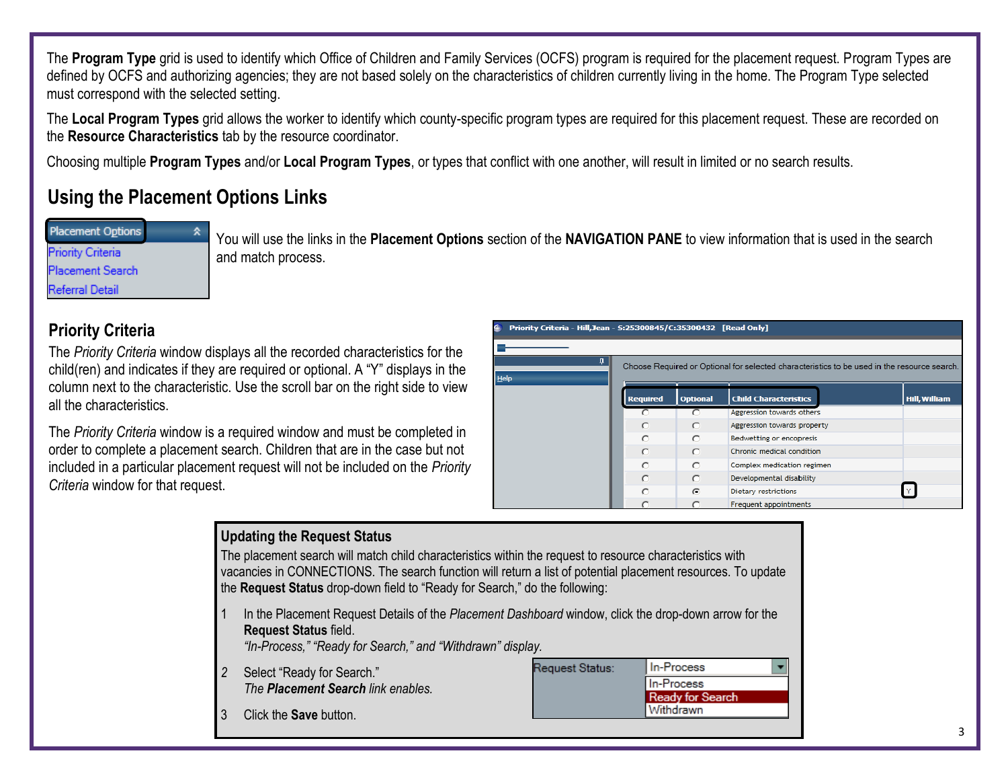The **Program Type** grid is used to identify which Office of Children and Family Services (OCFS) program is required for the placement request. Program Types are defined by OCFS and authorizing agencies; they are not based solely on the characteristics of children currently living in the home. The Program Type selected must correspond with the selected setting.

The **Local Program Types** grid allows the worker to identify which county-specific program types are required for this placement request. These are recorded on the **Resource Characteristics** tab by the resource coordinator.

Choosing multiple **Program Types** and/or **Local Program Types**, or types that conflict with one another, will result in limited or no search results.

# **Using the Placement Options Links**

**Placement Options Priority Criteria Placement Search Referral Detail** 

You will use the links in the **Placement Options** section of the **NAVIGATION PANE** to view information that is used in the search and match process.

#### **Priority Criteria**

The *Priority Criteria* window displays all the recorded characteristics for the child(ren) and indicates if they are required or optional. A "Y" displays in the column next to the characteristic. Use the scroll bar on the right side to view all the characteristics.

The *Priority Criteria* window is a required window and must be completed in order to complete a placement search. Children that are in the case but not included in a particular placement request will not be included on the *Priority Criteria* window for that request.

| Priority Criteria - Hill, Jean - S:25300845/C:35300432 [Read Only]                                               |                 |                 |                              |                      |  |  |  |  |  |  |
|------------------------------------------------------------------------------------------------------------------|-----------------|-----------------|------------------------------|----------------------|--|--|--|--|--|--|
|                                                                                                                  |                 |                 |                              |                      |  |  |  |  |  |  |
| Д.<br>Choose Required or Optional for selected characteristics to be used in the resource search.<br><b>Help</b> |                 |                 |                              |                      |  |  |  |  |  |  |
|                                                                                                                  | <b>Required</b> | <b>Optional</b> | <b>Child Characteristics</b> | <b>Hill, William</b> |  |  |  |  |  |  |
|                                                                                                                  |                 |                 | Aggression towards others    |                      |  |  |  |  |  |  |
|                                                                                                                  | C               | $\circ$         | Aggression towards property  |                      |  |  |  |  |  |  |
|                                                                                                                  | C               | $\subset$       | Bedwetting or encopresis     |                      |  |  |  |  |  |  |
|                                                                                                                  | C               | $\circ$         | Chronic medical condition    |                      |  |  |  |  |  |  |
|                                                                                                                  | ◠               | $\cap$          | Complex medication regimen   |                      |  |  |  |  |  |  |
|                                                                                                                  | C               | $\circ$         | Developmental disability     |                      |  |  |  |  |  |  |
|                                                                                                                  | $\subset$       | $\epsilon$      | Dietary restrictions         | Y.                   |  |  |  |  |  |  |
|                                                                                                                  |                 |                 | Frequent appointments        |                      |  |  |  |  |  |  |

#### **Updating the Request Status** The placement search will match child characteristics within the request to resource characteristics with vacancies in CONNECTIONS. The search function will return a list of potential placement resources. To update the **Request Status** drop-down field to "Ready for Search," do the following: 1 In the Placement Request Details of the *Placement Dashboard* window, click the drop-down arrow for the **Request Status** field. *"In-Process," "Ready for Search," and "Withdrawn" display.* In-Process Request Status: *2* Select "Ready for Search." In-Process *The Placement Search link enables.* **Ready for Search** Withdrawn 3 Click the **Save** button.